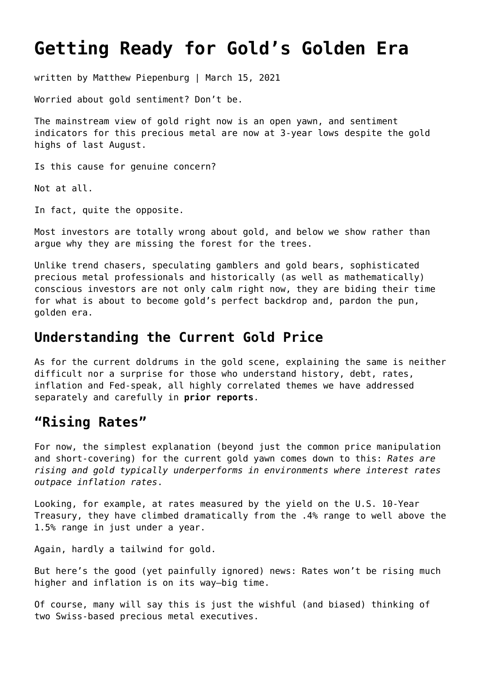# **[Getting Ready for Gold's Golden Era](https://goldswitzerland.com/getting-ready-for-golds-golden-era/)**

written by Matthew Piepenburg | March 15, 2021

Worried about gold sentiment? Don't be.

The mainstream view of gold right now is an open yawn, and sentiment indicators for this precious metal are now at 3-year lows despite the gold highs of last August.

Is this cause for genuine concern?

Not at all.

In fact, quite the opposite.

Most investors are totally wrong about gold, and below we show rather than argue why they are missing the forest for the trees.

Unlike trend chasers, speculating gamblers and gold bears, sophisticated precious metal professionals and historically (as well as mathematically) conscious investors are not only calm right now, they are biding their time for what is about to become gold's perfect backdrop and, pardon the pun, golden era.

#### **Understanding the Current Gold Price**

As for the current doldrums in the gold scene, explaining the same is neither difficult nor a surprise for those who understand history, debt, rates, inflation and Fed-speak, all highly correlated themes we have addressed separately and carefully in **[prior reports](https://goldswitzerland.com/rigged-to-fail-from-musk-to-powell/)**.

#### **"Rising Rates"**

For now, the simplest explanation (beyond just the common price manipulation and short-covering) for the current gold yawn comes down to this: *Rates are rising and gold typically underperforms in environments where interest rates outpace inflation rates*.

Looking, for example, at rates measured by the yield on the U.S. 10-Year Treasury, they have climbed dramatically from the .4% range to well above the 1.5% range in just under a year.

Again, hardly a tailwind for gold.

But here's the good (yet painfully ignored) news: Rates won't be rising much higher and inflation is on its way—big time.

Of course, many will say this is just the wishful (and biased) thinking of two Swiss-based precious metal executives.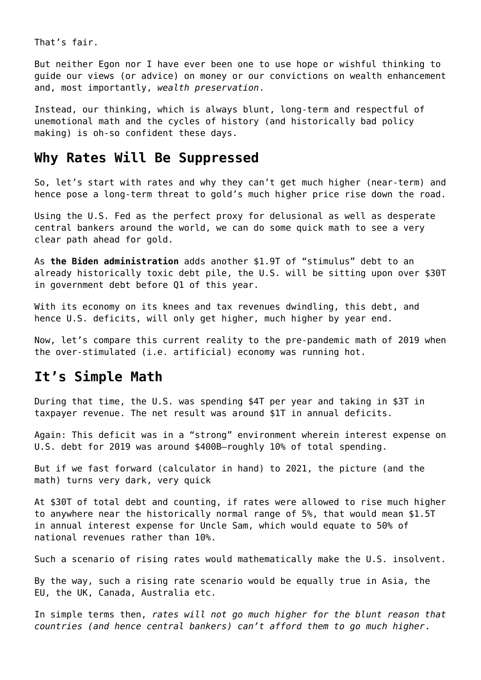That's fair.

But neither Egon nor I have ever been one to use hope or wishful thinking to guide our views (or advice) on money or our convictions on wealth enhancement and, most importantly, *wealth preservation*.

Instead, our thinking, which is always blunt, long-term and respectful of unemotional math and the cycles of history (and historically bad policy making) is oh-so confident these days.

#### **Why Rates Will Be Suppressed**

So, let's start with rates and why they can't get much higher (near-term) and hence pose a long-term threat to gold's much higher price rise down the road.

Using the U.S. Fed as the perfect proxy for delusional as well as desperate central bankers around the world, we can do some quick math to see a very clear path ahead for gold.

As **[the Biden administration](https://goldswitzerland.com/yields-to-surge-as-biden-yellen-create-record-deficits/)** adds another \$1.9T of "stimulus" debt to an already historically toxic debt pile, the U.S. will be sitting upon over \$30T in government debt before Q1 of this year.

With its economy on its knees and tax revenues dwindling, this debt, and hence U.S. deficits, will only get higher, much higher by year end.

Now, let's compare this current reality to the pre-pandemic math of 2019 when the over-stimulated (i.e. artificial) economy was running hot.

#### **It's Simple Math**

During that time, the U.S. was spending \$4T per year and taking in \$3T in taxpayer revenue. The net result was around \$1T in annual deficits.

Again: This deficit was in a "strong" environment wherein interest expense on U.S. debt for 2019 was around \$400B—roughly 10% of total spending.

But if we fast forward (calculator in hand) to 2021, the picture (and the math) turns very dark, very quick

At \$30T of total debt and counting, if rates were allowed to rise much higher to anywhere near the historically normal range of 5%, that would mean \$1.5T in annual interest expense for Uncle Sam, which would equate to 50% of national revenues rather than 10%.

Such a scenario of rising rates would mathematically make the U.S. insolvent.

By the way, such a rising rate scenario would be equally true in Asia, the EU, the UK, Canada, Australia etc.

In simple terms then, *rates will not go much higher for the blunt reason that countries (and hence central bankers) can't afford them to go much higher*.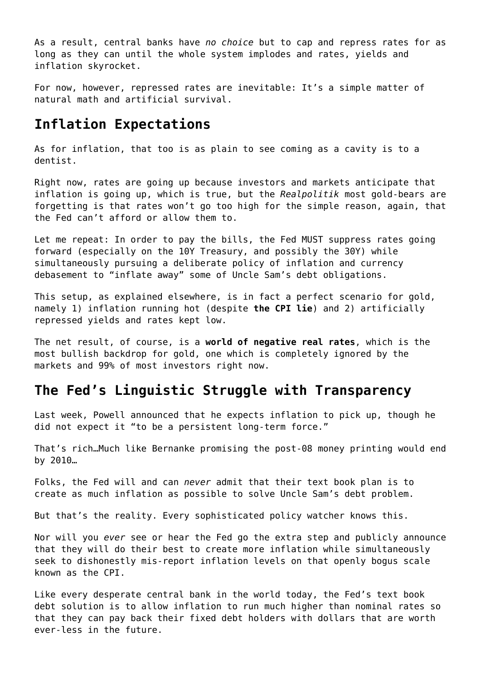As a result, central banks have *no choice* but to cap and repress rates for as long as they can until the whole system implodes and rates, yields and inflation skyrocket.

For now, however, repressed rates are inevitable: It's a simple matter of natural math and artificial survival.

### **Inflation Expectations**

As for inflation, that too is as plain to see coming as a cavity is to a dentist.

Right now, rates are going up because investors and markets anticipate that inflation is going up, which is true, but the *Realpolitik* most gold-bears are forgetting is that rates won't go too high for the simple reason, again, that the Fed can't afford or allow them to.

Let me repeat: In order to pay the bills, the Fed MUST suppress rates going forward (especially on the 10Y Treasury, and possibly the 30Y) while simultaneously pursuing a deliberate policy of inflation and currency debasement to "inflate away" some of Uncle Sam's debt obligations.

This setup, as explained elsewhere, is in fact a perfect scenario for gold, namely 1) inflation running hot (despite **[the CPI lie](https://goldswitzerland.com/the-feds-most-convenient-lie-a-cpi-charade/)**) and 2) artificially repressed yields and rates kept low.

The net result, of course, is a **[world of negative real rates](https://goldswitzerland.com/a-titanic-indicator-for-golds-rapidly-rising-future/)**, which is the most bullish backdrop for gold, one which is completely ignored by the markets and 99% of most investors right now.

# **The Fed's Linguistic Struggle with Transparency**

Last week, Powell announced that he expects inflation to pick up, though he did not expect it "to be a persistent long-term force."

That's rich…Much like Bernanke promising the post-08 money printing would end by 2010…

Folks, the Fed will and can *never* admit that their text book plan is to create as much inflation as possible to solve Uncle Sam's debt problem.

But that's the reality. Every sophisticated policy watcher knows this.

Nor will you *ever* see or hear the Fed go the extra step and publicly announce that they will do their best to create more inflation while simultaneously seek to dishonestly mis-report inflation levels on that openly bogus scale known as the CPI.

Like every desperate central bank in the world today, the Fed's text book debt solution is to allow inflation to run much higher than nominal rates so that they can pay back their fixed debt holders with dollars that are worth ever-less in the future.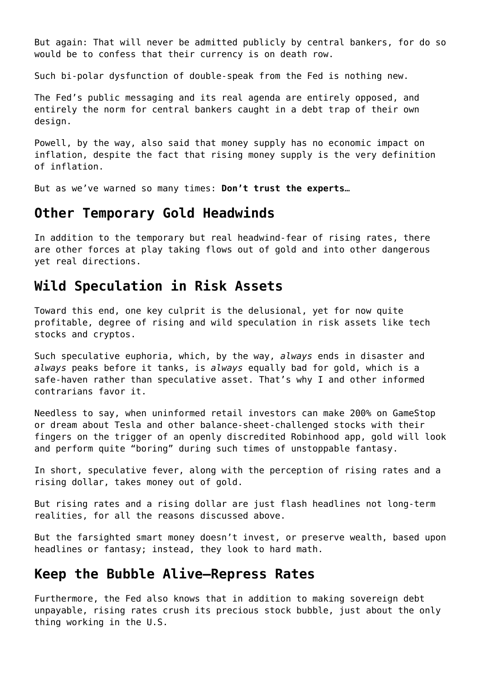But again: That will never be admitted publicly by central bankers, for do so would be to confess that their currency is on death row.

Such bi-polar dysfunction of double-speak from the Fed is nothing new.

The Fed's public messaging and its real agenda are entirely opposed, and entirely the norm for central bankers caught in a debt trap of their own design.

Powell, by the way, also said that money supply has no economic impact on inflation, despite the fact that rising money supply is the very definition of inflation.

But as we've warned so many times: **[Don't trust the experts](https://goldswitzerland.com/golden-advice-bet-against-the-experts/)**…

#### **Other Temporary Gold Headwinds**

In addition to the temporary but real headwind-fear of rising rates, there are other forces at play taking flows out of gold and into other dangerous yet real directions.

#### **Wild Speculation in Risk Assets**

Toward this end, one key culprit is the delusional, yet for now quite profitable, degree of rising and wild speculation in risk assets like tech stocks and cryptos.

Such speculative euphoria, which, by the way, *always* ends in disaster and *always* peaks before it tanks, is *always* equally bad for gold, which is a safe-haven rather than speculative asset. That's why I and other informed contrarians favor it.

Needless to say, when uninformed retail investors can make 200% on GameStop or dream about Tesla and other balance-sheet-challenged stocks with their fingers on the trigger of an openly discredited Robinhood app, gold will look and perform quite "boring" during such times of unstoppable fantasy.

In short, speculative fever, along with the perception of rising rates and a rising dollar, takes money out of gold.

But rising rates and a rising dollar are just flash headlines not long-term realities, for all the reasons discussed above.

But the farsighted smart money doesn't invest, or preserve wealth, based upon headlines or fantasy; instead, they look to hard math.

#### **Keep the Bubble Alive—Repress Rates**

Furthermore, the Fed also knows that in addition to making sovereign debt unpayable, rising rates crush its precious stock bubble, just about the only thing working in the U.S.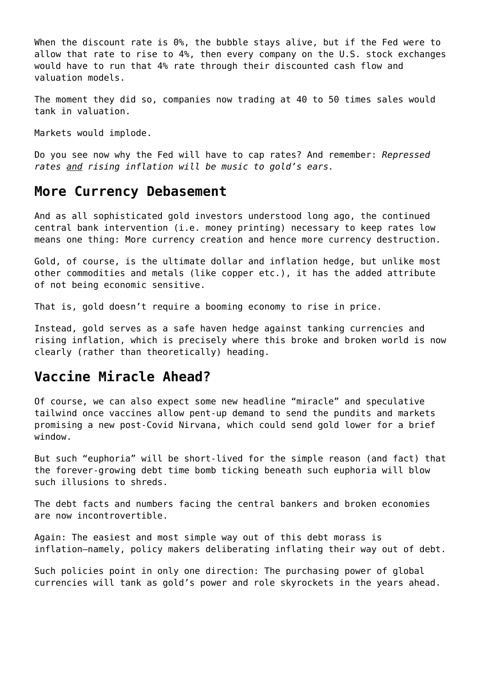When the discount rate is 0%, the bubble stays alive, but if the Fed were to allow that rate to rise to 4%, then every company on the U.S. stock exchanges would have to run that 4% rate through their discounted cash flow and valuation models.

The moment they did so, companies now trading at 40 to 50 times sales would tank in valuation.

Markets would implode.

Do you see now why the Fed will have to cap rates? And remember: *Repressed rates and rising inflation will be music to gold's ears.*

#### **More Currency Debasement**

And as all sophisticated gold investors understood long ago, the continued central bank intervention (i.e. money printing) necessary to keep rates low means one thing: More currency creation and hence more currency destruction.

Gold, of course, is the ultimate dollar and inflation hedge, but unlike most other commodities and metals (like copper etc.), it has the added attribute of not being economic sensitive.

That is, gold doesn't require a booming economy to rise in price.

Instead, gold serves as a safe haven hedge against tanking currencies and rising inflation, which is precisely where this broke and broken world is now clearly (rather than theoretically) heading.

#### **Vaccine Miracle Ahead?**

Of course, we can also expect some new headline "miracle" and speculative tailwind once vaccines allow pent-up demand to send the pundits and markets promising a new post-Covid Nirvana, which could send gold lower for a brief window.

But such "euphoria" will be short-lived for the simple reason (and fact) that the forever-growing debt time bomb ticking beneath such euphoria will blow such illusions to shreds.

The debt facts and numbers facing the central bankers and broken economies are now incontrovertible.

Again: The easiest and most simple way out of this debt morass is inflation—namely, policy makers deliberating inflating their way out of debt.

Such policies point in only one direction: The purchasing power of global currencies will tank as gold's power and role skyrockets in the years ahead.